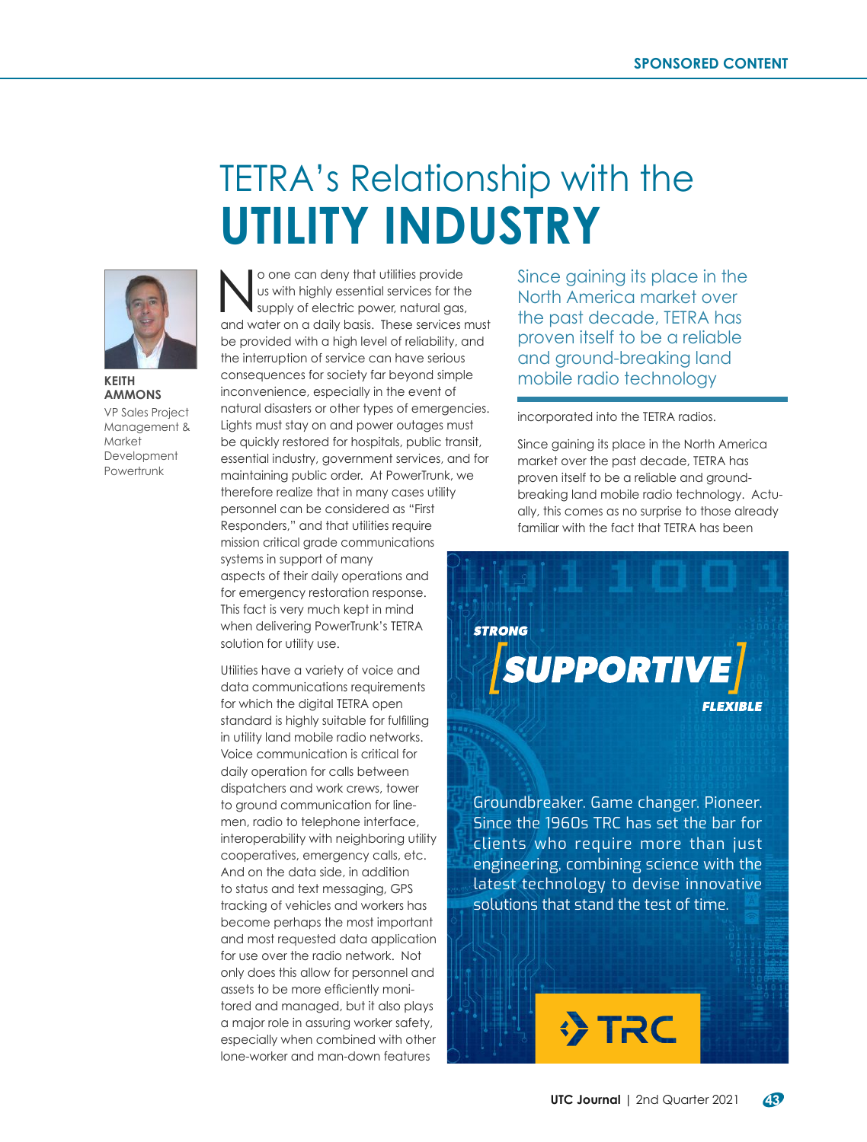## TETRA's Relationship with the **UTILITY INDUSTRY**



**AMMONS**

VP Sales Project Management & **Market** Development Powertrunk

O one can deny that utilities provide<br>
us with highly essential services for the<br>
supply of electric power, natural gas, us with highly essential services for the supply of electric power, natural gas, and water on a daily basis. These services must be provided with a high level of reliability, and the interruption of service can have serious consequences for society far beyond simple inconvenience, especially in the event of natural disasters or other types of emergencies. Lights must stay on and power outages must be quickly restored for hospitals, public transit, essential industry, government services, and for maintaining public order. At PowerTrunk, we therefore realize that in many cases utility personnel can be considered as "First Responders," and that utilities require mission critical grade communications systems in support of many aspects of their daily operations and for emergency restoration response. This fact is very much kept in mind when delivering PowerTrunk's TETRA solution for utility use. **KEITH Example 1** consequences for society far beyond simple **mobile radio technology** 

> Utilities have a variety of voice and data communications requirements for which the digital TETRA open standard is highly suitable for fulfilling in utility land mobile radio networks. Voice communication is critical for daily operation for calls between dispatchers and work crews, tower to ground communication for linemen, radio to telephone interface, interoperability with neighboring utility cooperatives, emergency calls, etc. And on the data side, in addition to status and text messaging, GPS tracking of vehicles and workers has become perhaps the most important and most requested data application for use over the radio network. Not only does this allow for personnel and assets to be more efficiently monitored and managed, but it also plays a major role in assuring worker safety, especially when combined with other lone-worker and man-down features

Since gaining its place in the North America market over the past decade, TETRA has proven itself to be a reliable and ground-breaking land

incorporated into the TETRA radios.

Since gaining its place in the North America market over the past decade, TETRA has proven itself to be a reliable and groundbreaking land mobile radio technology. Actually, this comes as no surprise to those already familiar with the fact that TETRA has been

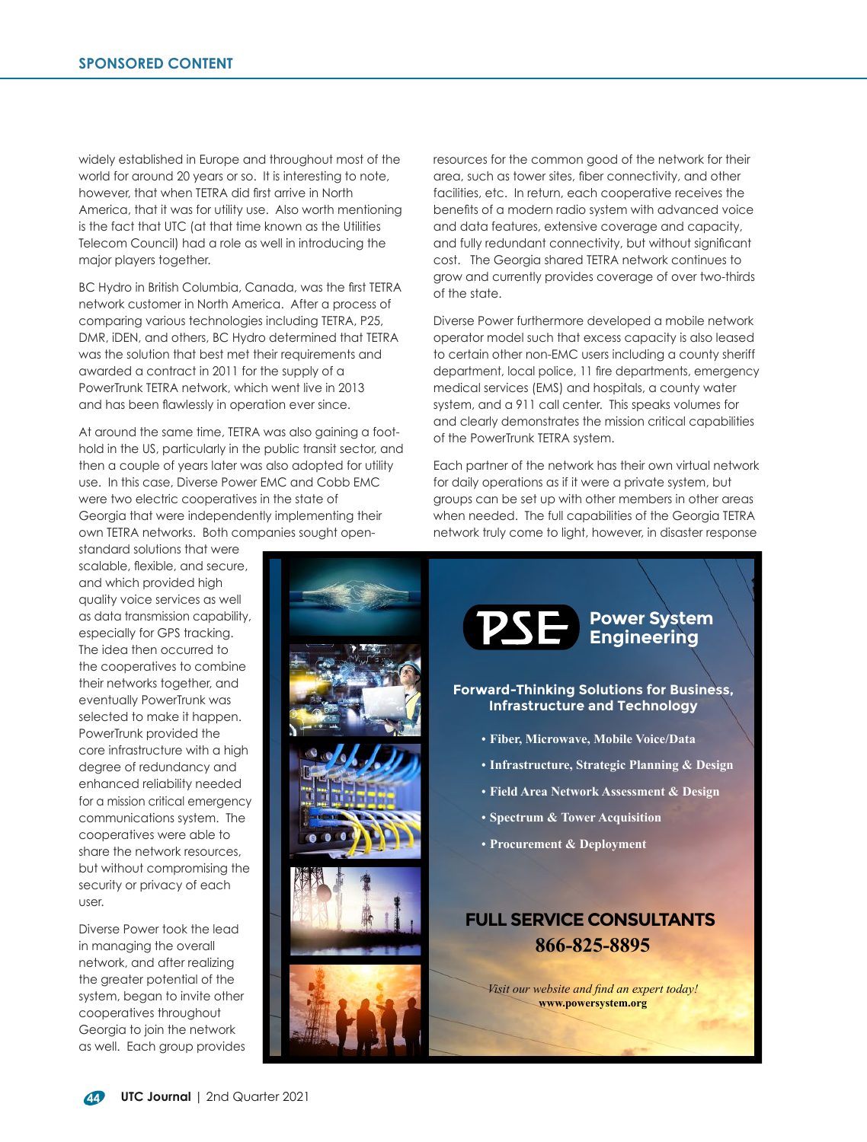widely established in Europe and throughout most of the world for around 20 years or so. It is interesting to note, however, that when TETRA did first arrive in North America, that it was for utility use. Also worth mentioning is the fact that UTC (at that time known as the Utilities Telecom Council) had a role as well in introducing the major players together.

BC Hydro in British Columbia, Canada, was the first TETRA network customer in North America. After a process of comparing various technologies including TETRA, P25, DMR, iDEN, and others, BC Hydro determined that TETRA was the solution that best met their requirements and awarded a contract in 2011 for the supply of a PowerTrunk TETRA network, which went live in 2013 and has been flawlessly in operation ever since.

At around the same time, TETRA was also gaining a foothold in the US, particularly in the public transit sector, and then a couple of years later was also adopted for utility use. In this case, Diverse Power EMC and Cobb EMC were two electric cooperatives in the state of Georgia that were independently implementing their own TETRA networks. Both companies sought open-

standard solutions that were scalable, flexible, and secure, and which provided high quality voice services as well as data transmission capability, especially for GPS tracking. The idea then occurred to the cooperatives to combine their networks together, and eventually PowerTrunk was selected to make it happen. PowerTrunk provided the core infrastructure with a high degree of redundancy and enhanced reliability needed for a mission critical emergency communications system. The cooperatives were able to share the network resources, but without compromising the security or privacy of each user.

Diverse Power took the lead in managing the overall network, and after realizing the greater potential of the system, began to invite other cooperatives throughout Georgia to join the network as well. Each group provides

resources for the common good of the network for their area, such as tower sites, fiber connectivity, and other facilities, etc. In return, each cooperative receives the benefits of a modern radio system with advanced voice and data features, extensive coverage and capacity, and fully redundant connectivity, but without significant cost. The Georgia shared TETRA network continues to grow and currently provides coverage of over two-thirds of the state.

Diverse Power furthermore developed a mobile network operator model such that excess capacity is also leased to certain other non-EMC users including a county sheriff department, local police, 11 fire departments, emergency medical services (EMS) and hospitals, a county water system, and a 911 call center. This speaks volumes for and clearly demonstrates the mission critical capabilities of the PowerTrunk TETRA system.

Each partner of the network has their own virtual network for daily operations as if it were a private system, but groups can be set up with other members in other areas when needed. The full capabilities of the Georgia TETRA network truly come to light, however, in disaster response